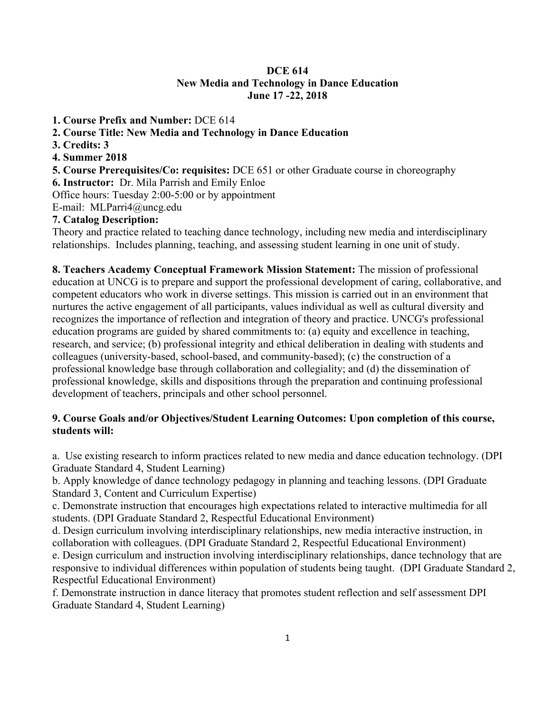## **DCE 614 New Media and Technology in Dance Education June 17 -22, 2018**

- **1. Course Prefix and Number:** DCE 614
- **2. Course Title: New Media and Technology in Dance Education**
- **3. Credits: 3**
- **4. Summer 2018**
- **5. Course Prerequisites/Co: requisites:** DCE 651 or other Graduate course in choreography
- **6. Instructor:** Dr. Mila Parrish and Emily Enloe

Office hours: Tuesday 2:00-5:00 or by appointment

E-mail: MLParri4@uncg.edu

## **7. Catalog Description:**

Theory and practice related to teaching dance technology, including new media and interdisciplinary relationships. Includes planning, teaching, and assessing student learning in one unit of study.

**8. Teachers Academy Conceptual Framework Mission Statement:** The mission of professional education at UNCG is to prepare and support the professional development of caring, collaborative, and competent educators who work in diverse settings. This mission is carried out in an environment that nurtures the active engagement of all participants, values individual as well as cultural diversity and recognizes the importance of reflection and integration of theory and practice. UNCG's professional education programs are guided by shared commitments to: (a) equity and excellence in teaching, research, and service; (b) professional integrity and ethical deliberation in dealing with students and colleagues (university-based, school-based, and community-based); (c) the construction of a professional knowledge base through collaboration and collegiality; and (d) the dissemination of professional knowledge, skills and dispositions through the preparation and continuing professional development of teachers, principals and other school personnel.

## **9. Course Goals and/or Objectives/Student Learning Outcomes: Upon completion of this course, students will:**

a. Use existing research to inform practices related to new media and dance education technology. (DPI Graduate Standard 4, Student Learning)

b. Apply knowledge of dance technology pedagogy in planning and teaching lessons. (DPI Graduate Standard 3, Content and Curriculum Expertise)

c. Demonstrate instruction that encourages high expectations related to interactive multimedia for all students. (DPI Graduate Standard 2, Respectful Educational Environment)

d. Design curriculum involving interdisciplinary relationships, new media interactive instruction, in collaboration with colleagues. (DPI Graduate Standard 2, Respectful Educational Environment)

e. Design curriculum and instruction involving interdisciplinary relationships, dance technology that are responsive to individual differences within population of students being taught. (DPI Graduate Standard 2, Respectful Educational Environment)

f. Demonstrate instruction in dance literacy that promotes student reflection and self assessment DPI Graduate Standard 4, Student Learning)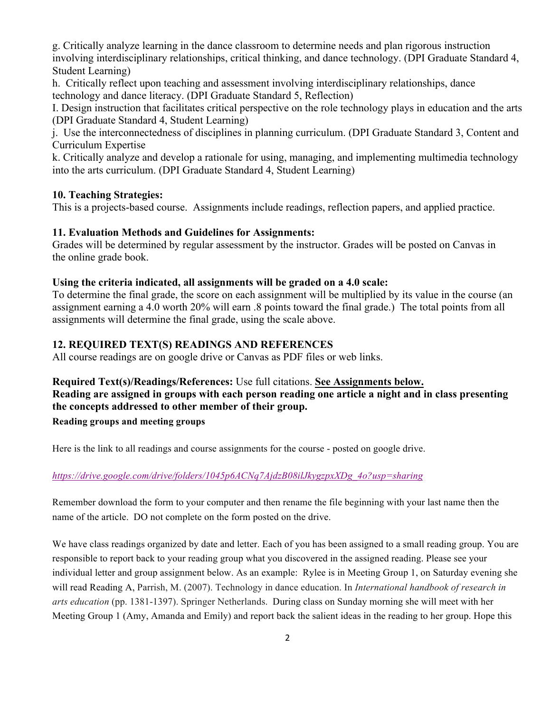g. Critically analyze learning in the dance classroom to determine needs and plan rigorous instruction involving interdisciplinary relationships, critical thinking, and dance technology. (DPI Graduate Standard 4, Student Learning)

h. Critically reflect upon teaching and assessment involving interdisciplinary relationships, dance technology and dance literacy. (DPI Graduate Standard 5, Reflection)

I. Design instruction that facilitates critical perspective on the role technology plays in education and the arts (DPI Graduate Standard 4, Student Learning)

j. Use the interconnectedness of disciplines in planning curriculum. (DPI Graduate Standard 3, Content and Curriculum Expertise

k. Critically analyze and develop a rationale for using, managing, and implementing multimedia technology into the arts curriculum. (DPI Graduate Standard 4, Student Learning)

# **10. Teaching Strategies:**

This is a projects-based course. Assignments include readings, reflection papers, and applied practice.

## **11. Evaluation Methods and Guidelines for Assignments:**

Grades will be determined by regular assessment by the instructor. Grades will be posted on Canvas in the online grade book.

## **Using the criteria indicated, all assignments will be graded on a 4.0 scale:**

To determine the final grade, the score on each assignment will be multiplied by its value in the course (an assignment earning a 4.0 worth 20% will earn .8 points toward the final grade.) The total points from all assignments will determine the final grade, using the scale above.

# **12. REQUIRED TEXT(S) READINGS AND REFERENCES**

All course readings are on google drive or Canvas as PDF files or web links.

## **Required Text(s)/Readings/References:** Use full citations. **See Assignments below.**

# **Reading are assigned in groups with each person reading one article a night and in class presenting the concepts addressed to other member of their group.**

## **Reading groups and meeting groups**

Here is the link to all readings and course assignments for the course - posted on google drive.

## *https://drive.google.com/drive/folders/1045p6ACNq7AjdzB08ilJkygzpxXDg\_4o?usp=sharing*

Remember download the form to your computer and then rename the file beginning with your last name then the name of the article. DO not complete on the form posted on the drive.

We have class readings organized by date and letter. Each of you has been assigned to a small reading group. You are responsible to report back to your reading group what you discovered in the assigned reading. Please see your individual letter and group assignment below. As an example: Rylee is in Meeting Group 1, on Saturday evening she will read Reading A, Parrish, M. (2007). Technology in dance education. In *International handbook of research in arts education* (pp. 1381-1397). Springer Netherlands. During class on Sunday morning she will meet with her Meeting Group 1 (Amy, Amanda and Emily) and report back the salient ideas in the reading to her group. Hope this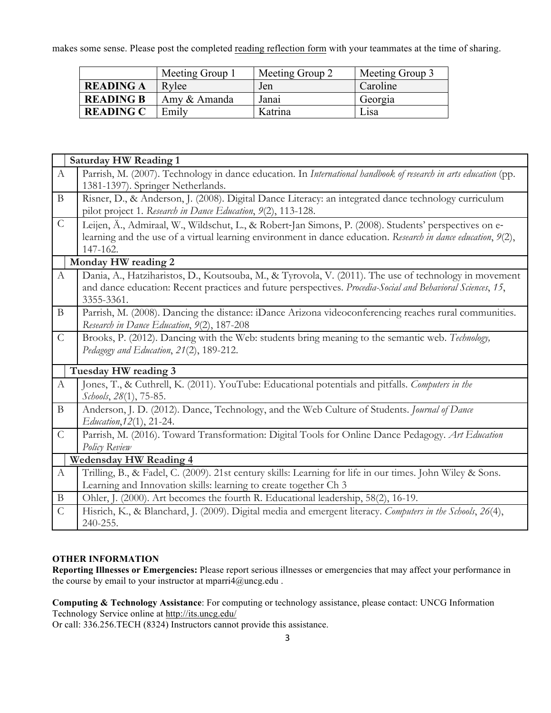makes some sense. Please post the completed reading reflection form with your teammates at the time of sharing.

|                  | Meeting Group 1 | Meeting Group 2 | Meeting Group 3 |
|------------------|-----------------|-----------------|-----------------|
| <b>READING A</b> | Rylee           | Jen             | Caroline        |
| <b>READING B</b> | Amy & Amanda    | Janai           | Georgia         |
| <b>READING C</b> | Emily           | Katrina         | Lisa            |

|                  | <b>Saturday HW Reading 1</b>                                                                                    |  |  |  |
|------------------|-----------------------------------------------------------------------------------------------------------------|--|--|--|
| $\mathbf{A}$     | Parrish, M. (2007). Technology in dance education. In International handbook of research in arts education (pp. |  |  |  |
|                  | 1381-1397). Springer Netherlands.                                                                               |  |  |  |
| $\mathbf{B}$     | Risner, D., & Anderson, J. (2008). Digital Dance Literacy: an integrated dance technology curriculum            |  |  |  |
|                  | pilot project 1. Research in Dance Education, 9(2), 113-128.                                                    |  |  |  |
| $\mathcal{C}$    | Leijen, Ä., Admiraal, W., Wildschut, L., & Robert-Jan Simons, P. (2008). Students' perspectives on e-           |  |  |  |
|                  | learning and the use of a virtual learning environment in dance education. Research in dance education, 9(2),   |  |  |  |
|                  | 147-162.                                                                                                        |  |  |  |
|                  | Monday HW reading 2                                                                                             |  |  |  |
| $\boldsymbol{A}$ | Dania, A., Hatziharistos, D., Koutsouba, M., & Tyrovola, V. (2011). The use of technology in movement           |  |  |  |
|                  | and dance education: Recent practices and future perspectives. Procedia-Social and Behavioral Sciences, 15,     |  |  |  |
|                  | 3355-3361.                                                                                                      |  |  |  |
| $\mathbf{B}$     | Parrish, M. (2008). Dancing the distance: iDance Arizona videoconferencing reaches rural communities.           |  |  |  |
|                  | Research in Dance Education, 9(2), 187-208                                                                      |  |  |  |
| $\mathcal{C}$    | Brooks, P. (2012). Dancing with the Web: students bring meaning to the semantic web. Technology,                |  |  |  |
|                  | Pedagogy and Education, 21(2), 189-212.                                                                         |  |  |  |
|                  | Tuesday HW reading 3                                                                                            |  |  |  |
| A                | Jones, T., & Cuthrell, K. (2011). YouTube: Educational potentials and pitfalls. Computers in the                |  |  |  |
|                  | Schools, 28(1), 75-85.                                                                                          |  |  |  |
| $\mathbf{B}$     | Anderson, J. D. (2012). Dance, Technology, and the Web Culture of Students. Journal of Dance                    |  |  |  |
|                  | Education, 12(1), 21-24.                                                                                        |  |  |  |
| $\mathcal{C}$    | Parrish, M. (2016). Toward Transformation: Digital Tools for Online Dance Pedagogy. Art Education               |  |  |  |
|                  | Policy Review                                                                                                   |  |  |  |
|                  | <b>Wedensday HW Reading 4</b>                                                                                   |  |  |  |
| $\mathbf{A}$     | Trilling, B., & Fadel, C. (2009). 21st century skills: Learning for life in our times. John Wiley & Sons.       |  |  |  |
|                  | Learning and Innovation skills: learning to create together Ch 3                                                |  |  |  |
| $\mathbf{B}$     | Ohler, J. (2000). Art becomes the fourth R. Educational leadership, 58(2), 16-19.                               |  |  |  |
| $\mathcal{C}$    | Hisrich, K., & Blanchard, J. (2009). Digital media and emergent literacy. Computers in the Schools, 26(4),      |  |  |  |
|                  | 240-255.                                                                                                        |  |  |  |

### **OTHER INFORMATION**

**Reporting Illnesses or Emergencies:** Please report serious illnesses or emergencies that may affect your performance in the course by email to your instructor at mparri4@uncg.edu.

**Computing & Technology Assistance**: For computing or technology assistance, please contact: UNCG Information Technology Service online at http://its.uncg.edu/

Or call: 336.256.TECH (8324) Instructors cannot provide this assistance.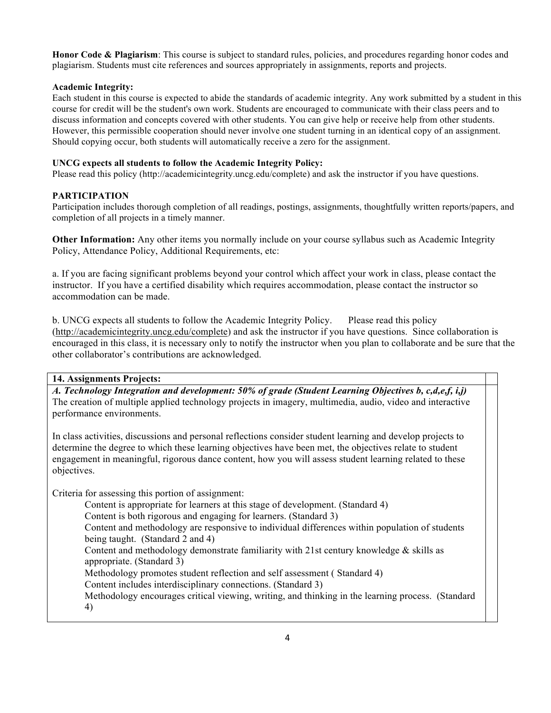**Honor Code & Plagiarism**: This course is subject to standard rules, policies, and procedures regarding honor codes and plagiarism. Students must cite references and sources appropriately in assignments, reports and projects.

### **Academic Integrity:**

Each student in this course is expected to abide the standards of academic integrity. Any work submitted by a student in this course for credit will be the student's own work. Students are encouraged to communicate with their class peers and to discuss information and concepts covered with other students. You can give help or receive help from other students. However, this permissible cooperation should never involve one student turning in an identical copy of an assignment. Should copying occur, both students will automatically receive a zero for the assignment.

### **UNCG expects all students to follow the Academic Integrity Policy:**

Please read this policy (http://academicintegrity.uncg.edu/complete) and ask the instructor if you have questions.

### **PARTICIPATION**

Participation includes thorough completion of all readings, postings, assignments, thoughtfully written reports/papers, and completion of all projects in a timely manner.

**Other Information:** Any other items you normally include on your course syllabus such as Academic Integrity Policy, Attendance Policy, Additional Requirements, etc:

a. If you are facing significant problems beyond your control which affect your work in class, please contact the instructor. If you have a certified disability which requires accommodation, please contact the instructor so accommodation can be made.

b. UNCG expects all students to follow the Academic Integrity Policy. Please read this policy (http://academicintegrity.uncg.edu/complete) and ask the instructor if you have questions. Since collaboration is encouraged in this class, it is necessary only to notify the instructor when you plan to collaborate and be sure that the other collaborator's contributions are acknowledged.

### **14. Assignments Projects:**

*A. Technology Integration and development: 50% of grade (Student Learning Objectives b, c,d,e,f, i,j)* The creation of multiple applied technology projects in imagery, multimedia, audio, video and interactive performance environments.

In class activities, discussions and personal reflections consider student learning and develop projects to determine the degree to which these learning objectives have been met, the objectives relate to student engagement in meaningful, rigorous dance content, how you will assess student learning related to these objectives.

Criteria for assessing this portion of assignment:

Content is appropriate for learners at this stage of development. (Standard 4)

Content is both rigorous and engaging for learners. (Standard 3)

Content and methodology are responsive to individual differences within population of students being taught. (Standard 2 and 4)

Content and methodology demonstrate familiarity with 21st century knowledge  $\&$  skills as appropriate. (Standard 3)

Methodology promotes student reflection and self assessment ( Standard 4)

Content includes interdisciplinary connections. (Standard 3)

Methodology encourages critical viewing, writing, and thinking in the learning process. (Standard 4)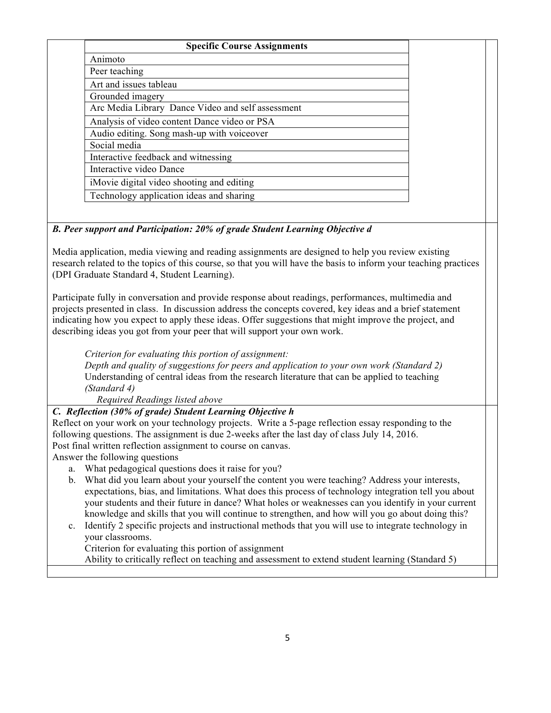| <b>Specific Course Assignments</b>                                                                                                                                                |  |  |  |
|-----------------------------------------------------------------------------------------------------------------------------------------------------------------------------------|--|--|--|
| Animoto                                                                                                                                                                           |  |  |  |
| Peer teaching                                                                                                                                                                     |  |  |  |
| Art and issues tableau                                                                                                                                                            |  |  |  |
| Grounded imagery                                                                                                                                                                  |  |  |  |
| Arc Media Library Dance Video and self assessment                                                                                                                                 |  |  |  |
| Analysis of video content Dance video or PSA                                                                                                                                      |  |  |  |
| Audio editing. Song mash-up with voiceover                                                                                                                                        |  |  |  |
| Social media                                                                                                                                                                      |  |  |  |
| Interactive feedback and witnessing                                                                                                                                               |  |  |  |
| Interactive video Dance                                                                                                                                                           |  |  |  |
| iMovie digital video shooting and editing                                                                                                                                         |  |  |  |
| Technology application ideas and sharing                                                                                                                                          |  |  |  |
|                                                                                                                                                                                   |  |  |  |
| B. Peer support and Participation: 20% of grade Student Learning Objective d                                                                                                      |  |  |  |
|                                                                                                                                                                                   |  |  |  |
| Media application, media viewing and reading assignments are designed to help you review existing                                                                                 |  |  |  |
| research related to the topics of this course, so that you will have the basis to inform your teaching practices                                                                  |  |  |  |
| (DPI Graduate Standard 4, Student Learning).                                                                                                                                      |  |  |  |
|                                                                                                                                                                                   |  |  |  |
| Participate fully in conversation and provide response about readings, performances, multimedia and                                                                               |  |  |  |
| projects presented in class. In discussion address the concepts covered, key ideas and a brief statement                                                                          |  |  |  |
| indicating how you expect to apply these ideas. Offer suggestions that might improve the project, and<br>describing ideas you got from your peer that will support your own work. |  |  |  |
|                                                                                                                                                                                   |  |  |  |
| Criterion for evaluating this portion of assignment:                                                                                                                              |  |  |  |
| Depth and quality of suggestions for peers and application to your own work (Standard 2)                                                                                          |  |  |  |
| Understanding of central ideas from the research literature that can be applied to teaching                                                                                       |  |  |  |
| (Standard 4)                                                                                                                                                                      |  |  |  |
| Required Readings listed above                                                                                                                                                    |  |  |  |
| C. Reflection (30% of grade) Student Learning Objective h                                                                                                                         |  |  |  |
| Reflect on your work on your technology projects. Write a 5-page reflection essay responding to the<br>$\sim$ $\sim$ $\sim$ $\sim$ $\sim$ $\sim$ $\sim$ $\sim$                    |  |  |  |

following questions. The assignment is due 2-weeks after the last day of class July 14, 2016. Post final written reflection assignment to course on canvas.

Answer the following questions

- a. What pedagogical questions does it raise for you?
- b. What did you learn about your yourself the content you were teaching? Address your interests, expectations, bias, and limitations. What does this process of technology integration tell you about your students and their future in dance? What holes or weaknesses can you identify in your current knowledge and skills that you will continue to strengthen, and how will you go about doing this?
- c. Identify 2 specific projects and instructional methods that you will use to integrate technology in your classrooms.

Criterion for evaluating this portion of assignment

Ability to critically reflect on teaching and assessment to extend student learning (Standard 5)